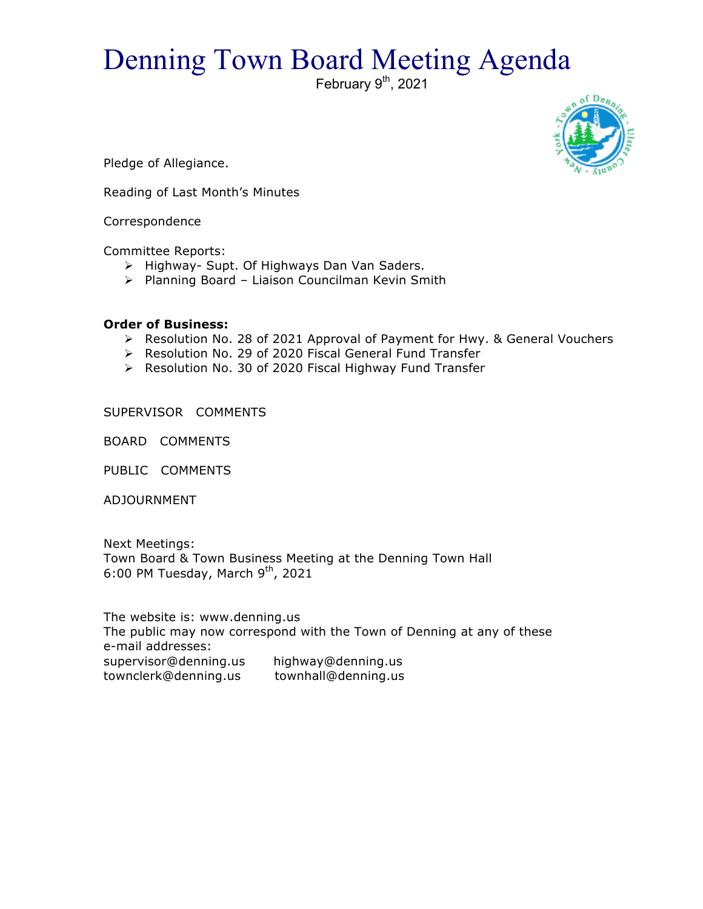## Denning Town Board Meeting Agenda

February 9<sup>th</sup>, 2021



Pledge of Allegiance.

Reading of Last Month's Minutes

Correspondence

Committee Reports:

- > Highway- Supt. Of Highways Dan Van Saders.
- $\triangleright$  Planning Board Liaison Councilman Kevin Smith

## **Order of Business:**

- > Resolution No. 28 of 2021 Approval of Payment for Hwy. & General Vouchers
- > Resolution No. 29 of 2020 Fiscal General Fund Transfer
- ▶ Resolution No. 30 of 2020 Fiscal Highway Fund Transfer

SUPERVISOR COMMENTS

BOARD COMMENTS

PUBLIC COMMENTS

ADJOURNMENT

Next Meetings: Town Board & Town Business Meeting at the Denning Town Hall 6:00 PM Tuesday, March  $9<sup>th</sup>$ , 2021

The website is: www.denning.us The public may now correspond with the Town of Denning at any of these e-mail addresses: supervisor@denning.us highway@denning.us townclerk@denning.us townhall@denning.us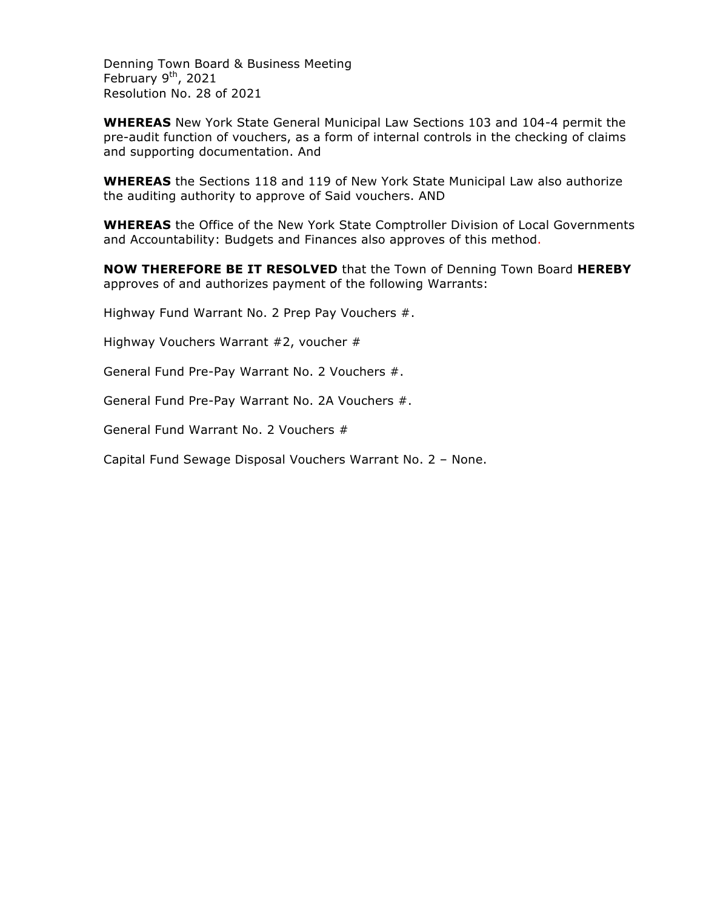Denning Town Board & Business Meeting February  $9<sup>th</sup>$ , 2021 Resolution No. 28 of 2021

**WHEREAS** New York State General Municipal Law Sections 103 and 104-4 permit the pre-audit function of vouchers, as a form of internal controls in the checking of claims and supporting documentation. And

**WHEREAS** the Sections 118 and 119 of New York State Municipal Law also authorize the auditing authority to approve of Said vouchers. AND

**WHEREAS** the Office of the New York State Comptroller Division of Local Governments and Accountability: Budgets and Finances also approves of this method.

**NOW THEREFORE BE IT RESOLVED** that the Town of Denning Town Board **HEREBY** approves of and authorizes payment of the following Warrants:

Highway Fund Warrant No. 2 Prep Pay Vouchers #.

Highway Vouchers Warrant #2, voucher #

General Fund Pre-Pay Warrant No. 2 Vouchers #.

General Fund Pre-Pay Warrant No. 2A Vouchers #.

General Fund Warrant No. 2 Vouchers #

Capital Fund Sewage Disposal Vouchers Warrant No. 2 – None.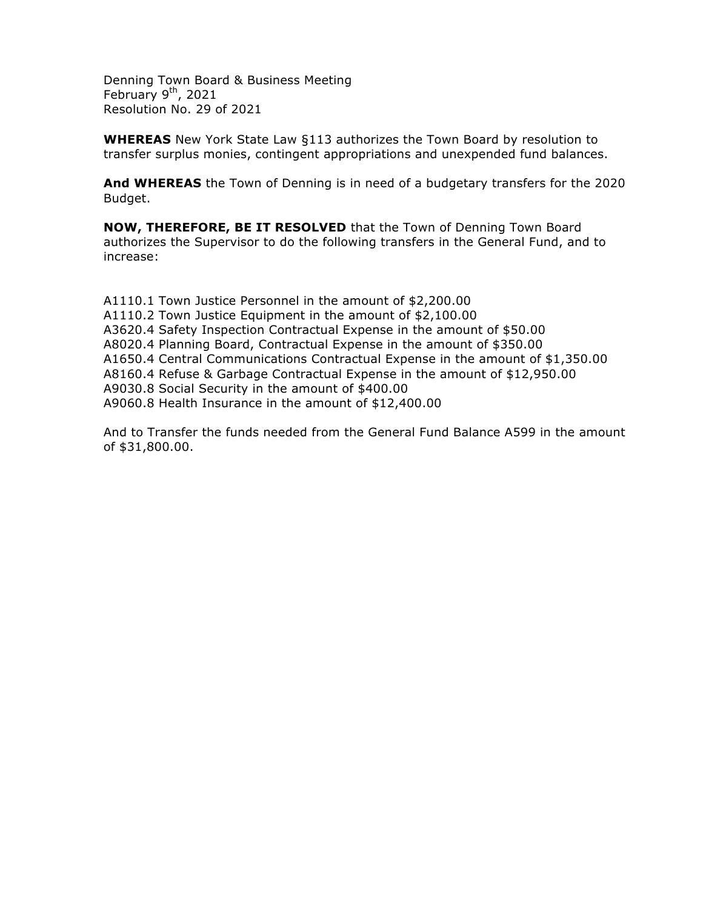Denning Town Board & Business Meeting February  $9^{th}$ , 2021 Resolution No. 29 of 2021

**WHEREAS** New York State Law §113 authorizes the Town Board by resolution to transfer surplus monies, contingent appropriations and unexpended fund balances.

**And WHEREAS** the Town of Denning is in need of a budgetary transfers for the 2020 Budget.

**NOW, THEREFORE, BE IT RESOLVED** that the Town of Denning Town Board authorizes the Supervisor to do the following transfers in the General Fund, and to increase:

A1110.1 Town Justice Personnel in the amount of \$2,200.00 A1110.2 Town Justice Equipment in the amount of \$2,100.00 A3620.4 Safety Inspection Contractual Expense in the amount of \$50.00 A8020.4 Planning Board, Contractual Expense in the amount of \$350.00 A1650.4 Central Communications Contractual Expense in the amount of \$1,350.00 A8160.4 Refuse & Garbage Contractual Expense in the amount of \$12,950.00 A9030.8 Social Security in the amount of \$400.00 A9060.8 Health Insurance in the amount of \$12,400.00

And to Transfer the funds needed from the General Fund Balance A599 in the amount of \$31,800.00.